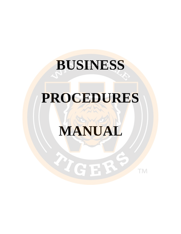# **BUSINESS**

# **PROCEDURES**

# **MANUAL**

LIGER

TM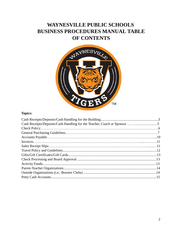# **WAYNESVILLE PUBLIC SCHOOLS BUSINESS PROCEDURES MANUAL TABLE OF CONTENTS**



# **Topics:**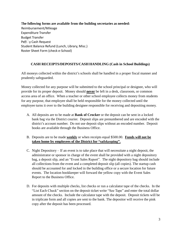**The following forms are available from the building secretaries as needed:** Reimbursement/Mileage Expenditure Transfer Budget Transfer Pe**n** ⊿y Cash Request Student Balance Refund (Lunch, Library, Misc.) Roster Sheet Form (check e‐School)

#### **CASH RECEIPTS/DEPOSITS/CASH HANDLING (Cash in School Buildings)**

All moneys collected within the district's schools shall be handled in a proper fiscal manner and prudently safeguarded.

Money collected for any purpose will be submitted to the school principal or designee, who will provide for its proper deposit. Money should **never** be left in a desk, classroom, or common access area of an office. When a teacher or other school employee collects money from students for any purpose, that employee shall be held responsible for the money collected until the employee turns it over to the building designee responsible for receiving and depositing money.

- A. All deposits are to be made at **Bank of Crocker** or the deposit can be sent in a locked bank bag via the District courier. Deposit slips are prenumbered and are encoded with the district's account number. Do not use deposit slips without an encoded number. Deposit books are available through the Business Office.
- B. Deposits are to be made **weekly** or when receipts equal \$500.00. **Funds will not be taken home by employees of the District for "safekeeping".**
- C. Night Depository If an event is to take place that will necessitate a night deposit, the administrator or sponsor in charge of the event shall be provided with a night depository bag, a deposit slip, and an "Event Sales Report". The night depository bag should include all collections from the event and a completed deposit slip (all copies). The startup cash should be accounted for and locked in the building office or a secure location for future events. The location bookkeeper will forward the yellow copy with the Event Sales Report to the Business Office.
- D. For deposits with multiple checks, list checks or run a calculator tape of the checks. In the "List Each Check" section on the deposit ticket write "See Tape" and enter the total dollar amount of the checks. Include the calculator tape with the deposit. Deposit tickets will be in triplicate form and all copies are sent to the bank. The depositor will receive the pink copy after the deposit has been processed.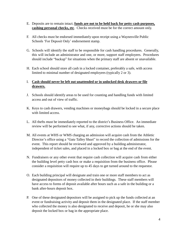- E. Deposits are to remain intact; **funds are not to be held back for petty cash purposes, cashing personal checks, etc**. Checks received must be for the correct amount only.
- F. All checks must be endorsed immediately upon receipt using a Waynesville Public Schools 'For Deposit Only' endorsement stamp.
- G. Schools will identify the staff to be responsible for cash handling procedures. Generally, this will include an administrator and one, or more, support staff employees. Procedures should include "backup" for situations when the primary staff are absent or unavailable.
- H. Each school should store all cash in a locked container, preferably a safe, with access limited to minimal number of designated employees (typically 2 or 3).

## I. **Cash should never be left out unattended or in unlocked desk drawers or file drawers.**

- J. Schools should identify areas to be used for counting and handling funds with limited access and out of view of traffic.
- K. Keys to cash drawers, vending machines or moneybags should be locked in a secure place with limited access.
- L. All thefts must be immediately reported to the district's Business Office. An immediate review will be performed to see what, if any, corrective actions should be taken.
- M. All events at WHS or WMS charging an admission will acquire cash from the Athletic Director's office using a "Gate Talley Sheet" to record the collection of admissions for the event. This report should be reviewed and approved by a building administrator, independent of ticket sales, and placed in a locked box or bag at the end of the event.
- N. Fundraisers or any other event that require cash collection will acquire cash from either the building level petty cash box or make a requisition from the business office. Please consider a requisition will require up to 45 days to get turned around to the requestor.
- O. Each building principal will designate and train one or more staff members to act as designated depositors of money collected in their buildings. These staff members will have access to forms of deposit available after hours such as a safe in the building or a bank after-hours deposit box.
- P. One of these designated depositors will be assigned to pick up the funds collected at an event or fundraising activity and deposit them in the designated place. If the staff member who collected the money is also designated to receive and deposit, he or she may also deposit the locked box or bag in the appropriate place.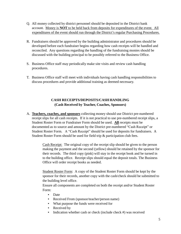- Q. All money collected by district personnel should be deposited in the District bank account. Money is **NOT** to be held back from deposits for expenditures of the event. All expenditures of the event should run through the District's regular Purchasing Procedures.
- R. Fundraisers should be approved by the building administrator and procedures should be developed before each fundraiser begins regarding how cash receipts will be handled and reconciled. Any questions regarding the handling of the fundraising monies should be discussed with the building principal to be possibly referred to the Business Office.
- S. Business Office staff may periodically make site visits and review cash handling procedures.
- T. Business Office staff will meet with individuals having cash handling responsibilities to discuss procedures and provide additional training as deemed necessary.

# **CASH RECEIPTS/DEPOSITS/CASH HANDLING (Cash Received by Teacher, Coaches, Sponsors)**

A. **Teachers, coaches, and sponsors** collecting money should use District pre-numbered receipt slips for all cash receipts. If it is not practical to use pre-numbered receipt slips, a Student Roster Form or Fundraiser Form should be used. **All** receipts must be documented as to source and amount by the District pre-numbered "Cash Receipt" or Student Roster Form. A "Cash Receipt" should be used for deposits for fundraisers. A Student Roster Form should be used for field trip & participation club fees.

> Cash Receipt: The original copy of the receipt slip should be given to the person making the payment and the second (yellow) should be retained by the sponsor for their records. The third copy (pink) will stay in the receipt book and be turned in to the building office. Receipt slips should equal the deposit totals. The Business Office will order receipt books as needed.

> Student Roster Form: A copy of the Student Roster Form should be kept by the sponsor for their records, another copy with the cash/check should be submitted to the building level office.

Ensure all components are completed on both the receipt and/or Student Roster Form:

- Date
- Received From (sponsor/teacher/person name)
- What purpose the funds were received for
- Received by
- Indication whether cash or check (include check  $#$ ) was received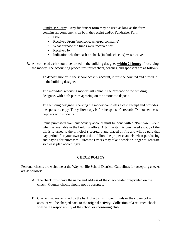Fundraiser Form: Any fundraiser form may be used as long as the form contains all components on both the receipt and/or Fundraiser Form:

- Date
- Received From (sponsor/teacher/person name)
- What purpose the funds were received for
- Received by
- Indication whether cash or check (include check #) was received
- B. All collected cash should be turned in the building designee **within 24 hours** of receiving the money. The accounting procedures for teachers, coaches, and sponsors are as follows:

To deposit money in the school activity account, it must be counted and turned in to the building designee.

The individual receiving money will count in the presence of the building designee, with both parties agreeing on the amount to deposit.

The building designee receiving the money completes a cash receipt and provides the sponsor a copy. The yellow copy is for the sponsor's records. Do not send cash deposits with students.

Items purchased from any activity account must be done with a "Purchase Order" which is available in the building office. After the item is purchased a copy of the bill is returned to the principal's secretary and placed on file and will be paid that pay period. For your own protection, follow the proper channels when purchasing and paying for purchases. Purchase Orders may take a week or longer to generate so please plan accordingly.

#### **CHECK POLICY**

Personal checks are welcome at the Waynesville School District. Guidelines for accepting checks are as follows:

- A. The check must have the name and address of the check writer pre-printed on the check. Counter checks should not be accepted.
- B. Checks that are returned by the bank due to insufficient funds or the closing of an account will be charged back to the original activity. Collection of a returned check will be the responsibility of the school or sponsoring club.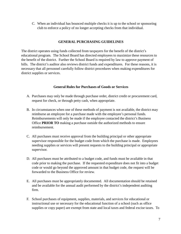C. When an individual has bounced multiple checks it is up to the school or sponsoring club to enforce a policy of no longer accepting checks from that individual.

#### **GENERAL PURCHASING GUIDELINES**

The district operates using funds collected from taxpayers for the benefit of the district's educational program. The School Board has directed employees to maximize these resources to the benefit of the district. Further the School Board is required by law to approve payment of bills. The district's auditor also reviews district funds and expenditures. For these reasons, it is necessary that all personnel carefully follow district procedures when making expenditures for district supplies or services.

#### **General Rules for Purchases of Goods or Services**

- A. Purchases may only be made through purchase order, district credit or procurement card, request for check, or through petty cash, when appropriate.
- B. In circumstances when one of these methods of payment is not available, the district may reimburse an employee for a purchase made with the employee's personal funds. Reimbursements will only be made if the employee contacted the district's Business Office **PRIOR TO** making a purchase outside the authorized methods to ensure reimbursement.
- C. All purchases must receive approval from the building principal or other appropriate supervisor responsible for the budget code from which the purchase is made. Employees needing supplies or services will present requests to the building principal or appropriate supervisor.
- D. All purchases must be attributed to a budget code, and funds must be available in that code prior to making the purchase. If the requested expenditure does not fit into a budget code or would go beyond the approved amount in that budget code, the request will be forwarded to the Business Office for review.
- E. All purchases must be appropriately documented. All documentation should be retained and be available for the annual audit performed by the district's independent auditing firm.
- F. School purchases of equipment, supplies, materials, and services for educational or instructional use or necessary for the educational function of a school (such as office supplies or copy paper) are exempt from state and local taxes and federal excise taxes. To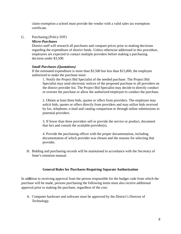claim exemption a school must provide the vendor with a valid sales tax exemption certificate.

#### G. Purchasing (Policy DJF)

#### *Micro-Purchases*

District staff will research all purchases and compare prices prior to making decisions regarding the expenditure of district funds. Unless otherwise addressed in this procedure, employees are expected to contact multiple providers before making a purchasing decision under \$3,500.

#### *Small Purchases (Quotations)*

If the estimated expenditure is more than \$3,500 but less than \$15,000, the employee authorized to make the purchase must:

1. Notify the Project Bid Specialist of the needed purchase. The Project Bid Specialist may send electronic notices of the proposed purchase to all providers on the district provider list. The Project Bid Specialist may decide to directly conduct or oversee the purchase or allow the authorized employee to conduct the purchase.

2. Obtain at least three bids, quotes or offers from providers. The employee may solicit bids, quotes or offers directly from providers and may utilize bids received by fax, telephone, e-mail and catalog comparison or through online submissions to potential providers.

3. If fewer than three providers sell or provide the service or product, document that fact and consult the available provider(s).

4. Provide the purchasing officer with the proper documentation, including documentation of which provider was chosen and the reasons for selecting that provider.

H. Bidding and purchasing records will be maintained in accordance with the Secretary of State's retention manual.

#### **General Rules for Purchases Requiring Separate Authorization**

In ad**d**ition to receiving approval from the person responsible for the budget code from which the purchase will be made, persons purchasing the following items must also receive additional approval prior to making the purchase, regardless of the cost:

A. Computer hardware and software must be approved by the District's Director of Technology.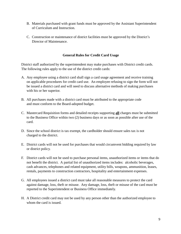- B. Materials purchased with grant funds must be approved by the Assistant Superintendent of Curriculum and Instruction.
- C. Construction or maintenance of district facilities must be approved by the District's Director of Maintenance.

### **General Rules for Credit Card Usage**

District staff authorized by the superintendent may make purchases with District credit cards. The following rules apply to the use of the district credit cards:

- A. Any employee using a district card shall sign a card usage agreement and receive training on applicable procedures for credit card use. An employee refusing to sign the form will not be issued a district card and will need to discuss alternative methods of making purchases with his or her superior.
- B. All purchases made with a district card must be attributed to the appropriate code and must conform to the Board-adopted budget.
- C. Mastercard Requisition forms and detailed receipts supporting **all** charges must be submitted to the Business Office within two (2) business days or as soon as possible after use of the card.
- D. Since the school district is tax exempt, the cardholder should ensure sales tax is not charged to the district.
- E. District cards will not be used for purchases that would circumvent bidding required by law or district policy.
- F. District cards will not be used to purchase personal items, unauthorized items or items that do not benefit the district. A partial list of unauthorized items includes: alcoholic beverages, cash advances, telephones and related equipment, utility bills, weapons, ammunition, leases, rentals, payments to construction contractors, hospitality and entertainment expenses.
- G. All employees issued a district card must take all reasonable measures to protect the card against damage, loss, theft or misuse. Any damage, loss, theft or misuse of the card must be reported to the Superintendent or Business Office immediately.
- H. A District credit card may not be used by any person other than the authorized employee to whom the card is issued.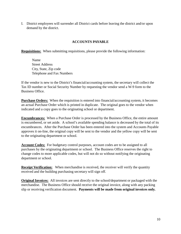I. District employees will surrender all District cards before leaving the district and/or upon demand by the district.

## **ACCOUNTS PAYABLE**

**Requisitions:** When submitting requisitions, please provide the following information:

Name Street Address City, State, Zip code Telephone and Fax Numbers

If the vendor is new to the District's financial/accounting system, the secretary will collect the Tax ID number or Social Security Number by requesting the vendor send a W-9 form to the Business Office.

**Purchase Orders:** When the requisition is entered into financial/accounting system, it becomes an actual Purchase Order which is printed in duplicate. The original goes to the vendor when indicated and a copy goes to the originating school or department.

**Encumbrances:** When a Purchase Order is processed by the Business Office, the entire amount is encumbered, or set aside. A school's available spending balance is decreased by the total of its encumbrances. After the Purchase Order has been entered into the system and Accounts Payable approves it on-line, the original copy will be sent to the vendor and the yellow copy will be sent to the originating department or school.

**Account Codes:** For budgetary control purposes, account codes are to be assigned to all purchases by the originating department or school. The Business Office reserves the right to change codes to more applicable codes, but will not do so without notifying the originating department or school.

**Receipt Verification:** When merchandise is received, the receiver will verify the quantity received and the building purchasing secretary will sign off.

**Original Invoices:** All invoices are sent directly to the school/department or packaged with the merchandise. The Business Office should receive the original invoice, along with any packing slip or receiving verification document. **Payments will be made from original invoices only.**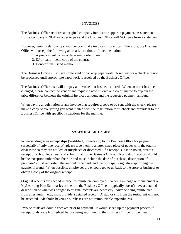#### **INVOICES**

The Business Office requires an original company invoice to support a payment. A statement from a company is NOT an order to pay and the Business Office will NOT pay from a statement.

However, certain relationships with vendors make invoices impractical. Therefore, the Business Office will accept the following alternative methods of documentation:

- 1. A prepayment for an order send order blank
- 2. DJ or band send copy of the contract
- 3. Honorarium send memo.

The Business Office must have some kind of back-up paperwork. A request for a check will not be processed until appropriate paperwork is received by the Business Office.

The Business Office also will not pay an invoice that has been altered. When an order has been changed, please contact the vendor and request a new invoice or a credit memo to explain the price difference between the original invoiced amount and the requested payment amount.

When paying a registration or any invoice that requires a copy to be sent with the check, please make a copy of everything you want mailed with the registration form/check and provide it to the Business Office with specific instructions for the mailing.

#### **SALES RECEIPT SLIPS**

When sending sales receipt slips (Wal-Mart, Lowe's etc) to the Business Office for payment (especially if only one receipt), please tape them to a letter-sized piece of paper with the total in clear view so they are not lost or misplaced or discarded. If a receipt is lost or stolen, create a receipt on school letterhead and submit that to the Business Office. "Recreated" receipts should be the exception rather than the rule and must include the date of purchase, description of purchase/refund requested, the amount to be paid, and the principal's signature approving the payment/refund. When possible, employees are encouraged to go back to the store or business to obtain a copy of the original receipt.

Original receipts are needed in order to reimburse employees. When a mileage reimbursement or MyLearning Plan Summaries are sent to the Business Office, it typically doesn't have a detailed description of what was bought so original receipts are necessary. Anyone being reimbursed from a restaurant, etc., must provide a detailed receipt. A stub or slip from the restaurant will not be accepted. Alcoholic beverage purchases are not reimbursable expenditures.

Invoice totals are double checked prior to payment. It would speed up the payment process if receipt totals were highlighted before being submitted to the Business Office for payment.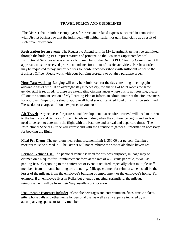### **TRAVEL POLICY AND GUIDELINES**

The District shall reimburse employees for travel and related expenses incurred in connection with District business so that the individual will neither suffer nor gain financially as a result of such travel or expense.

**Registration for an event:** The Request to Attend form in My Learning Plan must be submitted through the building PLC representative and principal to the Assistant Superintendent of Instructional Services who is an ex-officio member of the District PLC Steering Committee. All approvals must be received prior to attendance for all out of district activities. Purchase orders may be requested to pay authorized fees for conference/workshops with sufficient notice to the Business Office. Please work with your building secretary to obtain a purchase order.

**Hotel Reservations:** Lodging will only be reimbursed for the days attending meetings plus allowable travel time. If an overnight stay is necessary, the sharing of hotel rooms for same gender staff is required. If there are extenuating circumstances where this is not possible, please fill out the comment section of My Learning Plan or inform an administrator of the circumstances for approval. Supervisors should approve all hotel stays. Itemized hotel bills must be submitted. Please do not charge additional expenses to your room.

**Air Travel:** Any requests for professional development that require air travel will need to be sent to the Instructional Services Office. Details including when the conference begins and ends will need to be sent to determine the flight with the best rate and arrival and departure times. The Instructional Services Office will correspond with the attendee to gather all information necessary for booking the flight.

**Meal Per Diem:** The per diem meal reimbursement limit is \$50.00 per person. **Itemized receipts** must be turned in. The District will not reimburse the cost of alcoholic beverages.

**Personal Vehicle Use:** If a personal vehicle is used for business purposes, mileage may be claimed on a Request for Reimbursement form at the rate of 45.5 cents per mile, as well as parking fees. Carpooling to the conference or event is required, especially when multiple staff members from the same building are attending. Mileage claimed for reimbursement shall be the lesser of the mileage from the employee's building of employment or the employee's home. For example, if an employee lives in Rolla, but attends a meeting Springfield, the mileage reimbursement will be from their Waynesville work location.

**Unallowable Expenses include:** Alcoholic beverages and entertainment, fines, traffic tickets, gifts, phone calls and other items for personal use, as well as any expense incurred by an accompanying spouse or family member.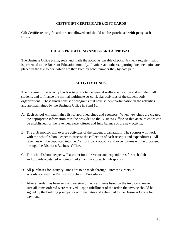#### **GIFTS/GIFT CERTIFICATES/GIFT CARDS**

Gift Certificates or gift cards are not allowed and should not **be purchased with petty cash funds.**

#### **CHECK PROCESSING AND BOARD APPROVAL**

The Business Office prints, seals and mails the accounts payable checks. A check register listing is presented to the Board of Education monthly. Invoices and other supporting documentation are placed in the file folders which are then filed by batch number they by date paid.

#### **ACTIVITY FUNDS**

The purpose of the activity funds is to promote the general welfare, education and morale of all students and to finance the normal legitimate co-curricular activities of the student body organizations. These funds consist of programs that have student participation in the activities and are maintained by the Business Office in Fund 16.

- A. Each school will maintain a list of approved clubs and sponsors. When new clubs are created, the appropriate information must be provided to the Business Office so that account codes can be established for the revenues, expenditures and fund balance of the new activity.
- B. The club sponsor will oversee activities of the student organization. The sponsor will work with the school's bookkeeper to process the collection of cash receipts and expenditures. All revenues will be deposited into the District's bank account and expenditures will be processed through the District's Business Office.
- C. The school's bookkeeper will account for all revenue and expenditures for each club and provide a detailed accounting of all activity to each club sponsor.
- D. All purchases for Activity Funds are to be made through Purchase Orders in accordance with the District's Purchasing Procedures.
- E. After an order has been sent and received, check all items listed on the invoice to make sure all items ordered were received. Upon fulfillment of the order, the invoice should be signed by the building principal or administrator and submitted to the Business Office for payment.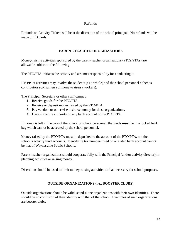#### **Refunds**

Refunds on Activity Tickets will be at the discretion of the school principal. No refunds will be made on ID cards.

#### **PARENT-TEACHER ORGANIZATIONS**

Money-raising activities sponsored by the parent-teacher organizations (PTOs/PTAs) are allowable subject to the following:

The PTO/PTA initiates the activity and assumes responsibility for conducting it.

PTO/PTA activities may involve the students (as a whole) and the school personnel either as contributors (consumers) or money-raisers (workers).

The Principal, Secretary or other staff **cannot**:

- 1. Receive goods for the PTO/PTA.
- 2. Receive or deposit money raised by the PTO/PTA.
- 3. Pay vendors or otherwise disburse money for these organizations.
- 4. Have signature authority on any bank account of the PTO/PTA.

If money is left in the care of the school or school personnel, the funds **must** be in a locked bank bag which cannot be accessed by the school personnel.

Money raised by the PTO/PTA must be deposited to the account of the PTO/PTA, not the school's activity fund accounts. Identifying tax numbers used on a related bank account cannot be that of Waynesville Public Schools.

Parent-teacher organizations should cooperate fully with the Principal (and/or activity director) in planning activities or raising money.

Discretion should be used to limit money-raising activities to that necessary for school purposes.

#### **OUTSIDE ORGANIZATIONS (i.e., BOOSTER CLUBS)**

Outside organizations should be valid, stand-alone organizations with their own identities. There should be no confusion of their identity with that of the school. Examples of such organizations are booster clubs.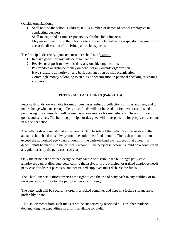Outside organizations:

- 1. Shall not use the school's address, tax ID number, or names of school employees in conducting business.
- 2. Shall manage and assume responsibility for the club's finances.
- 3. May make donations to the school or to a student club either for a specific purpose or for use at the discretion of the Principal or club sponsor.

The Principal, Secretary, sponsors, or other school staff **cannot**:

- 1. Receive goods for any outside organization.
- 2. Receive or deposit money raised by any outside organization.
- 3. Pay vendors or disburse money on behalf of any outside organization.
- 4. Have signature authority on any bank account of an outside organization.
- 5. Commingle money belonging to an outside organization in personal checking or savings accounts.

# **PETTY CASH ACCOUNTS (Policy DJB)**

Petty cash funds are available for minor purchases, refunds, collections of fines and fees, and to make change when necessary. Petty cash funds will not be used to circumvent established purchasing procedures, but will be used as a convenience for immediate purchases of low-cost goods and services. The building principal or designee will be responsible for petty cash accounts in his or her school

The petty cash account should not exceed \$300. The total of the Petty Cash Requests and the actual cash on hand must always total the authorized fund amount. The cash-on-hand cannot exceed the authorized petty cash amount. If the cash-on-hand ever exceeds that amount, a deposit must be made into the district's account. The petty cash account should be reconciled on a regular basis by the petty cash secretary.

Only the principal or trained designee may handle or distribute the building's petty cash. Employees cannot distribute petty cash to themselves. If the principal or trained employee needs petty cash for district purposes, another trained employee must disburse the funds.

The Chief Financial Officer reserves the right to end the use of petty cash in any building or to reassign responsibility for the petty cash in any building.

The petty cash will be securely stored in a locked container and kept in a locked storage area, preferably a safe.

All disbursements from such funds are to be supported by receipted bills or other evidence documenting the expenditure in a form available for audit.